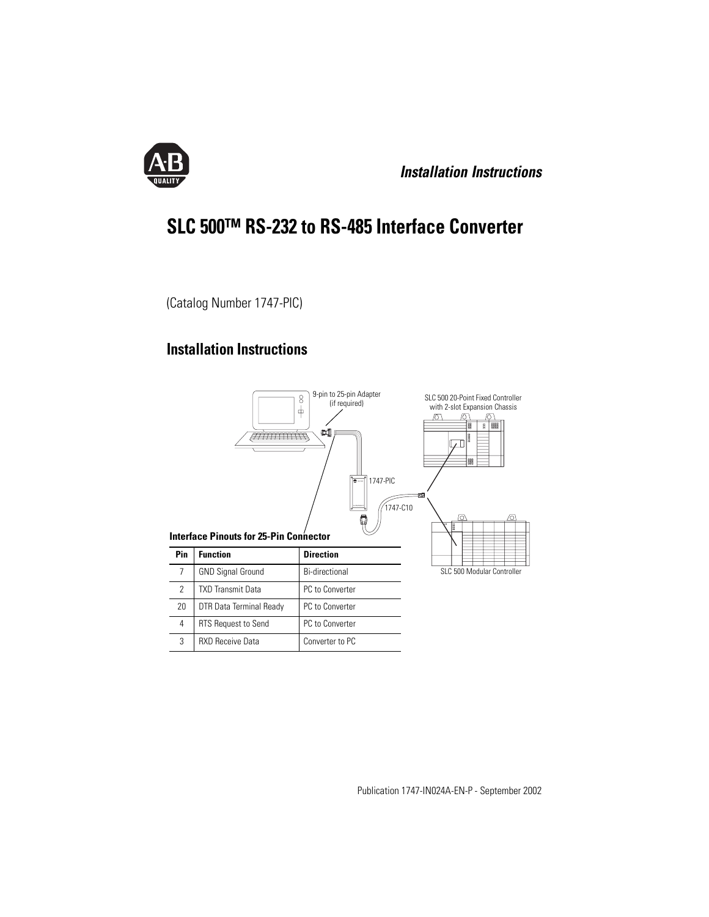

**Installation Instructions**

# **SLC 500™ RS-232 to RS-485 Interface Converter**

(Catalog Number 1747-PIC)

## **Installation Instructions**

3 RXD Receive Data Converter to PC

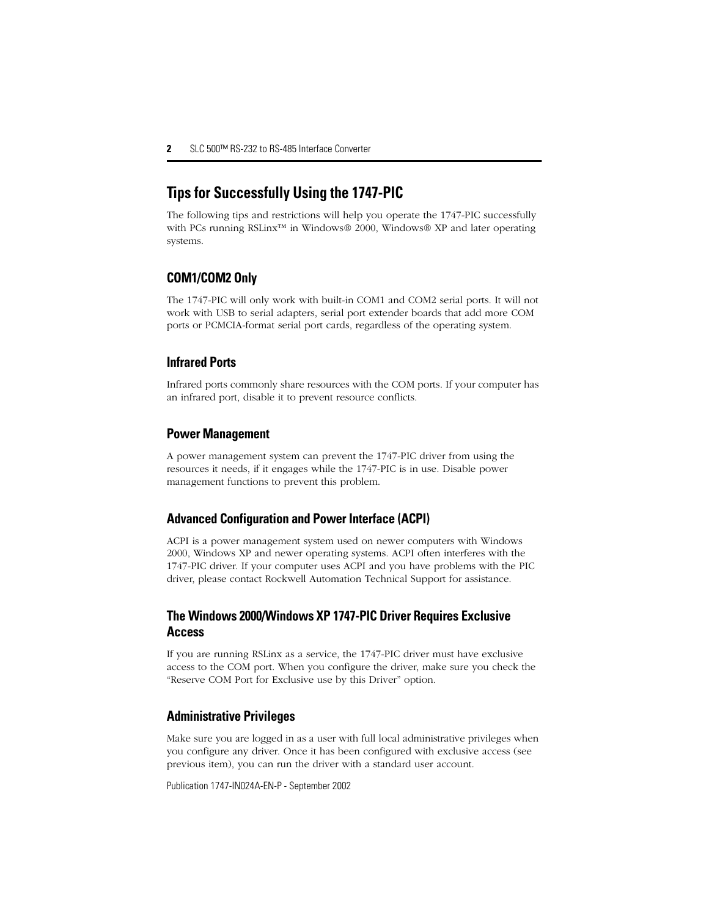## **Tips for Successfully Using the 1747-PIC**

The following tips and restrictions will help you operate the 1747-PIC successfully with PCs running RSLinx™ in Windows® 2000, Windows® XP and later operating systems.

#### **COM1/COM2 Only**

The 1747-PIC will only work with built-in COM1 and COM2 serial ports. It will not work with USB to serial adapters, serial port extender boards that add more COM ports or PCMCIA-format serial port cards, regardless of the operating system.

#### **Infrared Ports**

Infrared ports commonly share resources with the COM ports. If your computer has an infrared port, disable it to prevent resource conflicts.

#### **Power Management**

A power management system can prevent the 1747-PIC driver from using the resources it needs, if it engages while the 1747-PIC is in use. Disable power management functions to prevent this problem.

#### **Advanced Configuration and Power Interface (ACPI)**

ACPI is a power management system used on newer computers with Windows 2000, Windows XP and newer operating systems. ACPI often interferes with the 1747-PIC driver. If your computer uses ACPI and you have problems with the PIC driver, please contact Rockwell Automation Technical Support for assistance.

#### **The Windows 2000/Windows XP 1747-PIC Driver Requires Exclusive Access**

If you are running RSLinx as a service, the 1747-PIC driver must have exclusive access to the COM port. When you configure the driver, make sure you check the "Reserve COM Port for Exclusive use by this Driver" option.

#### **Administrative Privileges**

Make sure you are logged in as a user with full local administrative privileges when you configure any driver. Once it has been configured with exclusive access (see previous item), you can run the driver with a standard user account.

Publication 1747-IN024A-EN-P - September 2002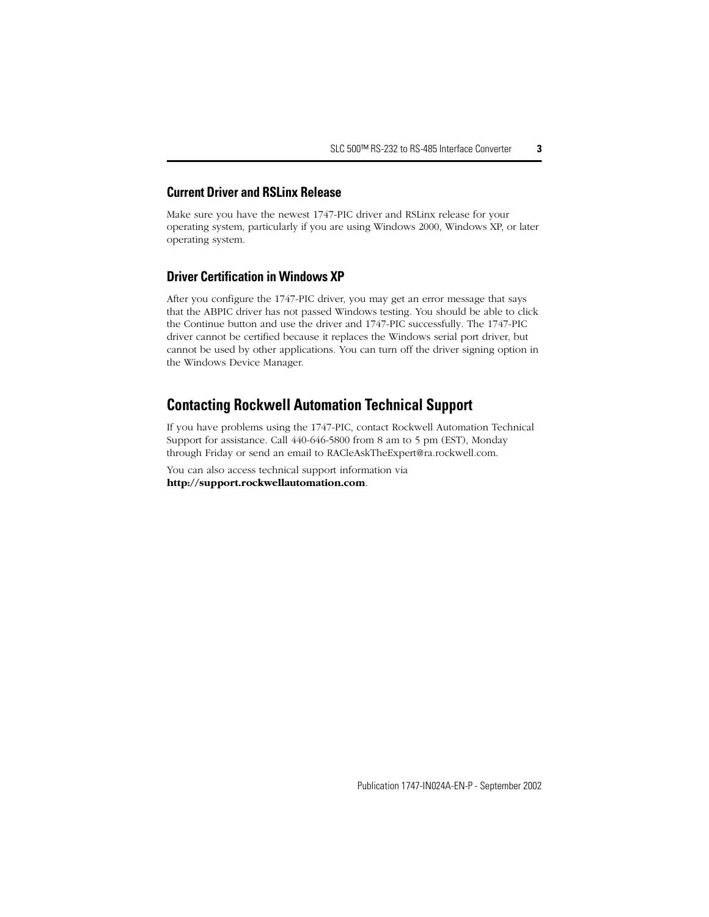#### **Current Driver and RSLinx Release**

Make sure you have the newest 1747-PIC driver and RSLinx release for your operating system, particularly if you are using Windows 2000, Windows XP, or later operating system.

#### **Driver Certification in Windows XP**

After you configure the 1747-PIC driver, you may get an error message that says that the ABPIC driver has not passed Windows testing. You should be able to click the Continue button and use the driver and 1747-PIC successfully. The 1747-PIC driver cannot be certified because it replaces the Windows serial port driver, but cannot be used by other applications. You can turn off the driver signing option in the Windows Device Manager.

### **Contacting Rockwell Automation Technical Support**

If you have problems using the 1747-PIC, contact Rockwell Automation Technical Support for assistance. Call 440-646-5800 from 8 am to 5 pm (EST), Monday through Friday or send an email to RACleAskTheExpert@ra.rockwell.com.

You can also access technical support information via **http://support.rockwellautomation.com**.